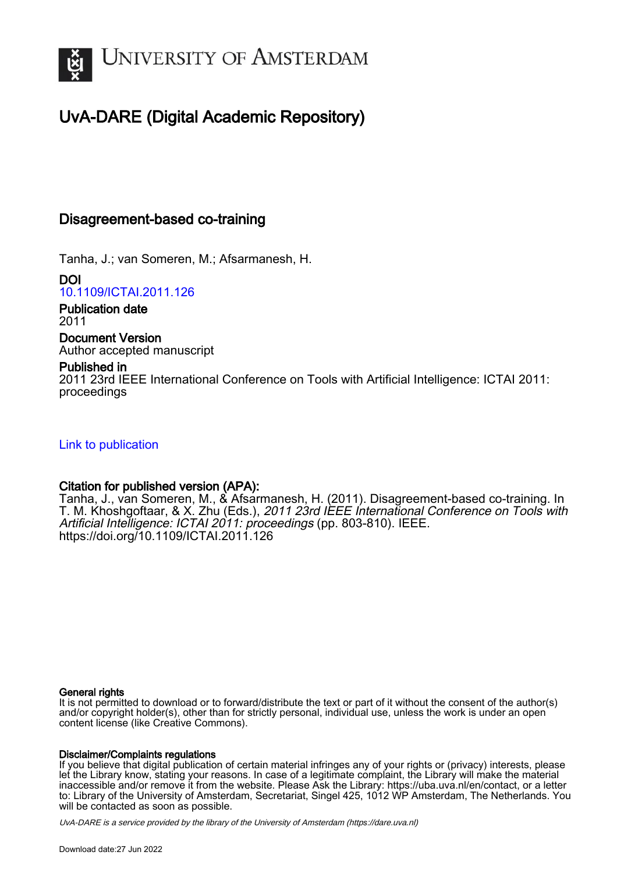

## UvA-DARE (Digital Academic Repository)

## Disagreement-based co-training

Tanha, J.; van Someren, M.; Afsarmanesh, H.

DOI [10.1109/ICTAI.2011.126](https://doi.org/10.1109/ICTAI.2011.126)

Publication date 2011

## Document Version

Author accepted manuscript

### Published in

2011 23rd IEEE International Conference on Tools with Artificial Intelligence: ICTAI 2011: proceedings

## [Link to publication](https://dare.uva.nl/personal/pure/en/publications/disagreementbased-cotraining(039f5e8f-86ac-458a-a5fb-eaebc75459f4).html)

## Citation for published version (APA):

Tanha, J., van Someren, M., & Afsarmanesh, H. (2011). Disagreement-based co-training. In T. M. Khoshgoftaar, & X. Zhu (Eds.), 2011 23rd IEEE International Conference on Tools with Artificial Intelligence: ICTAI 2011: proceedings (pp. 803-810). IEEE. <https://doi.org/10.1109/ICTAI.2011.126>

#### General rights

It is not permitted to download or to forward/distribute the text or part of it without the consent of the author(s) and/or copyright holder(s), other than for strictly personal, individual use, unless the work is under an open content license (like Creative Commons).

#### Disclaimer/Complaints regulations

If you believe that digital publication of certain material infringes any of your rights or (privacy) interests, please let the Library know, stating your reasons. In case of a legitimate complaint, the Library will make the material inaccessible and/or remove it from the website. Please Ask the Library: https://uba.uva.nl/en/contact, or a letter to: Library of the University of Amsterdam, Secretariat, Singel 425, 1012 WP Amsterdam, The Netherlands. You will be contacted as soon as possible.

UvA-DARE is a service provided by the library of the University of Amsterdam (http*s*://dare.uva.nl)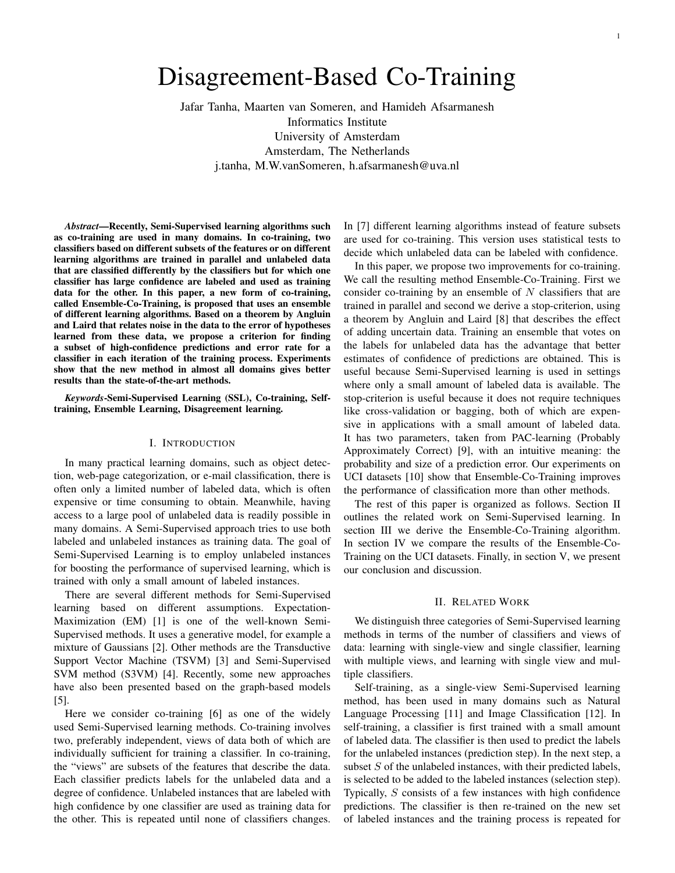# Disagreement-Based Co-Training

Jafar Tanha, Maarten van Someren, and Hamideh Afsarmanesh Informatics Institute University of Amsterdam Amsterdam, The Netherlands j.tanha, M.W.vanSomeren, h.afsarmanesh@uva.nl

*Abstract*—Recently, Semi-Supervised learning algorithms such as co-training are used in many domains. In co-training, two classifiers based on different subsets of the features or on different learning algorithms are trained in parallel and unlabeled data that are classified differently by the classifiers but for which one classifier has large confidence are labeled and used as training data for the other. In this paper, a new form of co-training, called Ensemble-Co-Training, is proposed that uses an ensemble of different learning algorithms. Based on a theorem by Angluin and Laird that relates noise in the data to the error of hypotheses learned from these data, we propose a criterion for finding a subset of high-confidence predictions and error rate for a classifier in each iteration of the training process. Experiments show that the new method in almost all domains gives better results than the state-of-the-art methods.

*Keywords*-Semi-Supervised Learning (SSL), Co-training, Selftraining, Ensemble Learning, Disagreement learning.

#### I. INTRODUCTION

In many practical learning domains, such as object detection, web-page categorization, or e-mail classification, there is often only a limited number of labeled data, which is often expensive or time consuming to obtain. Meanwhile, having access to a large pool of unlabeled data is readily possible in many domains. A Semi-Supervised approach tries to use both labeled and unlabeled instances as training data. The goal of Semi-Supervised Learning is to employ unlabeled instances for boosting the performance of supervised learning, which is trained with only a small amount of labeled instances.

There are several different methods for Semi-Supervised learning based on different assumptions. Expectation-Maximization (EM) [1] is one of the well-known Semi-Supervised methods. It uses a generative model, for example a mixture of Gaussians [2]. Other methods are the Transductive Support Vector Machine (TSVM) [3] and Semi-Supervised SVM method (S3VM) [4]. Recently, some new approaches have also been presented based on the graph-based models [5].

Here we consider co-training [6] as one of the widely used Semi-Supervised learning methods. Co-training involves two, preferably independent, views of data both of which are individually sufficient for training a classifier. In co-training, the "views" are subsets of the features that describe the data. Each classifier predicts labels for the unlabeled data and a degree of confidence. Unlabeled instances that are labeled with high confidence by one classifier are used as training data for the other. This is repeated until none of classifiers changes. In [7] different learning algorithms instead of feature subsets are used for co-training. This version uses statistical tests to decide which unlabeled data can be labeled with confidence.

In this paper, we propose two improvements for co-training. We call the resulting method Ensemble-Co-Training. First we consider co-training by an ensemble of  $N$  classifiers that are trained in parallel and second we derive a stop-criterion, using a theorem by Angluin and Laird [8] that describes the effect of adding uncertain data. Training an ensemble that votes on the labels for unlabeled data has the advantage that better estimates of confidence of predictions are obtained. This is useful because Semi-Supervised learning is used in settings where only a small amount of labeled data is available. The stop-criterion is useful because it does not require techniques like cross-validation or bagging, both of which are expensive in applications with a small amount of labeled data. It has two parameters, taken from PAC-learning (Probably Approximately Correct) [9], with an intuitive meaning: the probability and size of a prediction error. Our experiments on UCI datasets [10] show that Ensemble-Co-Training improves the performance of classification more than other methods.

The rest of this paper is organized as follows. Section II outlines the related work on Semi-Supervised learning. In section III we derive the Ensemble-Co-Training algorithm. In section IV we compare the results of the Ensemble-Co-Training on the UCI datasets. Finally, in section V, we present our conclusion and discussion.

#### II. RELATED WORK

We distinguish three categories of Semi-Supervised learning methods in terms of the number of classifiers and views of data: learning with single-view and single classifier, learning with multiple views, and learning with single view and multiple classifiers.

Self-training, as a single-view Semi-Supervised learning method, has been used in many domains such as Natural Language Processing [11] and Image Classification [12]. In self-training, a classifier is first trained with a small amount of labeled data. The classifier is then used to predict the labels for the unlabeled instances (prediction step). In the next step, a subset  $S$  of the unlabeled instances, with their predicted labels, is selected to be added to the labeled instances (selection step). Typically, S consists of a few instances with high confidence predictions. The classifier is then re-trained on the new set of labeled instances and the training process is repeated for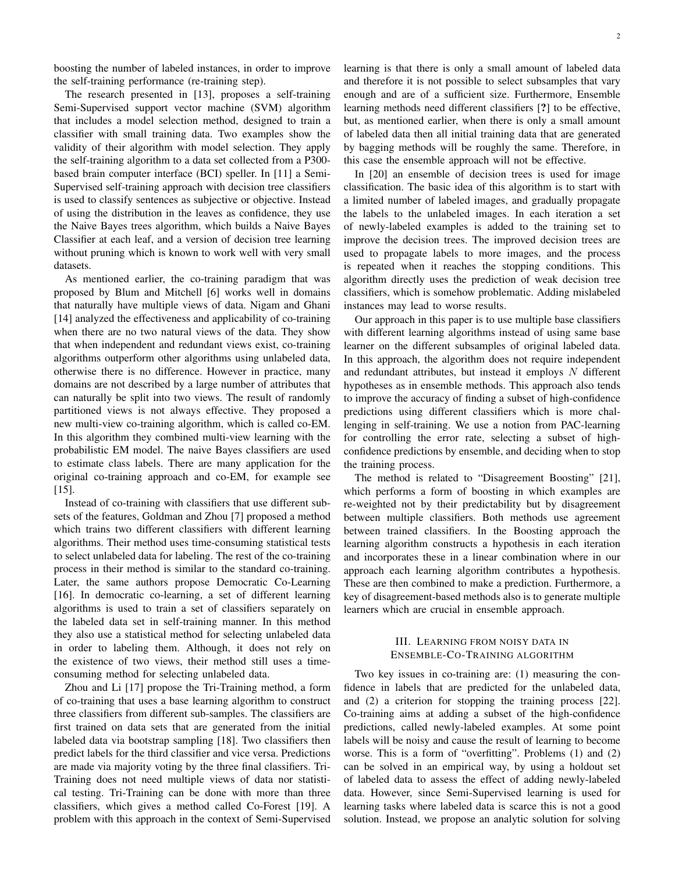The research presented in [13], proposes a self-training Semi-Supervised support vector machine (SVM) algorithm that includes a model selection method, designed to train a classifier with small training data. Two examples show the validity of their algorithm with model selection. They apply the self-training algorithm to a data set collected from a P300 based brain computer interface (BCI) speller. In [11] a Semi-Supervised self-training approach with decision tree classifiers is used to classify sentences as subjective or objective. Instead of using the distribution in the leaves as confidence, they use the Naive Bayes trees algorithm, which builds a Naive Bayes Classifier at each leaf, and a version of decision tree learning without pruning which is known to work well with very small datasets.

As mentioned earlier, the co-training paradigm that was proposed by Blum and Mitchell [6] works well in domains that naturally have multiple views of data. Nigam and Ghani [14] analyzed the effectiveness and applicability of co-training when there are no two natural views of the data. They show that when independent and redundant views exist, co-training algorithms outperform other algorithms using unlabeled data, otherwise there is no difference. However in practice, many domains are not described by a large number of attributes that can naturally be split into two views. The result of randomly partitioned views is not always effective. They proposed a new multi-view co-training algorithm, which is called co-EM. In this algorithm they combined multi-view learning with the probabilistic EM model. The naive Bayes classifiers are used to estimate class labels. There are many application for the original co-training approach and co-EM, for example see [15].

Instead of co-training with classifiers that use different subsets of the features, Goldman and Zhou [7] proposed a method which trains two different classifiers with different learning algorithms. Their method uses time-consuming statistical tests to select unlabeled data for labeling. The rest of the co-training process in their method is similar to the standard co-training. Later, the same authors propose Democratic Co-Learning [16]. In democratic co-learning, a set of different learning algorithms is used to train a set of classifiers separately on the labeled data set in self-training manner. In this method they also use a statistical method for selecting unlabeled data in order to labeling them. Although, it does not rely on the existence of two views, their method still uses a timeconsuming method for selecting unlabeled data.

Zhou and Li [17] propose the Tri-Training method, a form of co-training that uses a base learning algorithm to construct three classifiers from different sub-samples. The classifiers are first trained on data sets that are generated from the initial labeled data via bootstrap sampling [18]. Two classifiers then predict labels for the third classifier and vice versa. Predictions are made via majority voting by the three final classifiers. Tri-Training does not need multiple views of data nor statistical testing. Tri-Training can be done with more than three classifiers, which gives a method called Co-Forest [19]. A problem with this approach in the context of Semi-Supervised learning is that there is only a small amount of labeled data and therefore it is not possible to select subsamples that vary enough and are of a sufficient size. Furthermore, Ensemble learning methods need different classifiers [?] to be effective, but, as mentioned earlier, when there is only a small amount of labeled data then all initial training data that are generated by bagging methods will be roughly the same. Therefore, in this case the ensemble approach will not be effective.

In [20] an ensemble of decision trees is used for image classification. The basic idea of this algorithm is to start with a limited number of labeled images, and gradually propagate the labels to the unlabeled images. In each iteration a set of newly-labeled examples is added to the training set to improve the decision trees. The improved decision trees are used to propagate labels to more images, and the process is repeated when it reaches the stopping conditions. This algorithm directly uses the prediction of weak decision tree classifiers, which is somehow problematic. Adding mislabeled instances may lead to worse results.

Our approach in this paper is to use multiple base classifiers with different learning algorithms instead of using same base learner on the different subsamples of original labeled data. In this approach, the algorithm does not require independent and redundant attributes, but instead it employs  $N$  different hypotheses as in ensemble methods. This approach also tends to improve the accuracy of finding a subset of high-confidence predictions using different classifiers which is more challenging in self-training. We use a notion from PAC-learning for controlling the error rate, selecting a subset of highconfidence predictions by ensemble, and deciding when to stop the training process.

The method is related to "Disagreement Boosting" [21], which performs a form of boosting in which examples are re-weighted not by their predictability but by disagreement between multiple classifiers. Both methods use agreement between trained classifiers. In the Boosting approach the learning algorithm constructs a hypothesis in each iteration and incorporates these in a linear combination where in our approach each learning algorithm contributes a hypothesis. These are then combined to make a prediction. Furthermore, a key of disagreement-based methods also is to generate multiple learners which are crucial in ensemble approach.

#### III. LEARNING FROM NOISY DATA IN ENSEMBLE-CO-TRAINING ALGORITHM

Two key issues in co-training are: (1) measuring the confidence in labels that are predicted for the unlabeled data, and (2) a criterion for stopping the training process [22]. Co-training aims at adding a subset of the high-confidence predictions, called newly-labeled examples. At some point labels will be noisy and cause the result of learning to become worse. This is a form of "overfitting". Problems (1) and (2) can be solved in an empirical way, by using a holdout set of labeled data to assess the effect of adding newly-labeled data. However, since Semi-Supervised learning is used for learning tasks where labeled data is scarce this is not a good solution. Instead, we propose an analytic solution for solving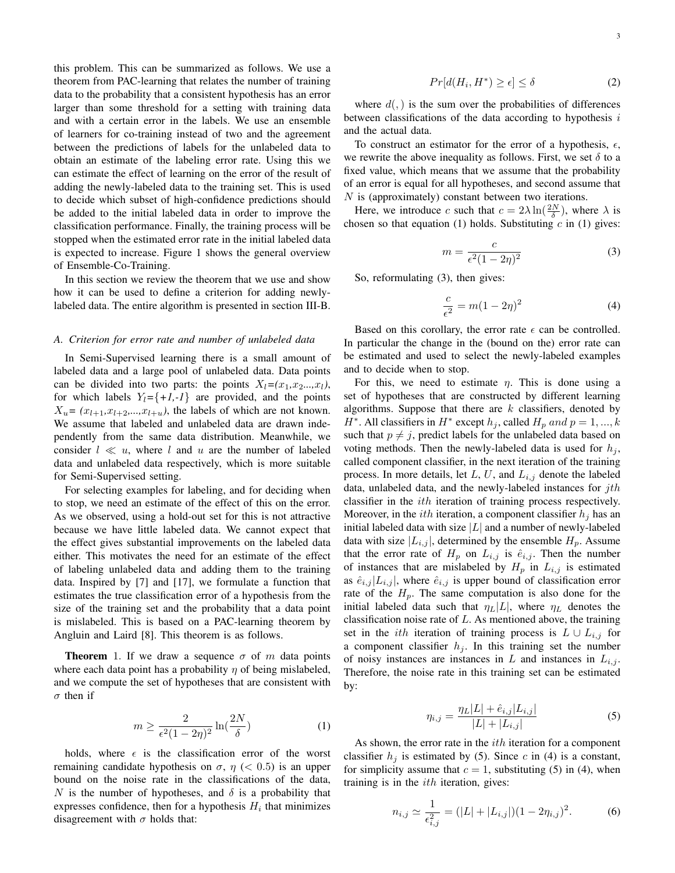this problem. This can be summarized as follows. We use a theorem from PAC-learning that relates the number of training data to the probability that a consistent hypothesis has an error larger than some threshold for a setting with training data and with a certain error in the labels. We use an ensemble of learners for co-training instead of two and the agreement between the predictions of labels for the unlabeled data to obtain an estimate of the labeling error rate. Using this we can estimate the effect of learning on the error of the result of adding the newly-labeled data to the training set. This is used to decide which subset of high-confidence predictions should be added to the initial labeled data in order to improve the classification performance. Finally, the training process will be stopped when the estimated error rate in the initial labeled data is expected to increase. Figure 1 shows the general overview of Ensemble-Co-Training.

In this section we review the theorem that we use and show how it can be used to define a criterion for adding newlylabeled data. The entire algorithm is presented in section III-B.

#### *A. Criterion for error rate and number of unlabeled data*

In Semi-Supervised learning there is a small amount of labeled data and a large pool of unlabeled data. Data points can be divided into two parts: the points  $X_l = (x_1, x_2, \ldots, x_l)$ , for which labels  $Y_l = \{+1, -1\}$  are provided, and the points  $X_u = (x_{l+1}, x_{l+2}, \ldots, x_{l+u})$ , the labels of which are not known. We assume that labeled and unlabeled data are drawn independently from the same data distribution. Meanwhile, we consider  $l \ll u$ , where l and u are the number of labeled data and unlabeled data respectively, which is more suitable for Semi-Supervised setting.

For selecting examples for labeling, and for deciding when to stop, we need an estimate of the effect of this on the error. As we observed, using a hold-out set for this is not attractive because we have little labeled data. We cannot expect that the effect gives substantial improvements on the labeled data either. This motivates the need for an estimate of the effect of labeling unlabeled data and adding them to the training data. Inspired by [7] and [17], we formulate a function that estimates the true classification error of a hypothesis from the size of the training set and the probability that a data point is mislabeled. This is based on a PAC-learning theorem by Angluin and Laird [8]. This theorem is as follows.

**Theorem** 1. If we draw a sequence  $\sigma$  of m data points where each data point has a probability  $\eta$  of being mislabeled, and we compute the set of hypotheses that are consistent with  $\sigma$  then if

$$
m \ge \frac{2}{\epsilon^2 (1 - 2\eta)^2} \ln(\frac{2N}{\delta})
$$
 (1)

holds, where  $\epsilon$  is the classification error of the worst remaining candidate hypothesis on  $\sigma$ ,  $\eta$  ( $<$  0.5) is an upper bound on the noise rate in the classifications of the data, N is the number of hypotheses, and  $\delta$  is a probability that expresses confidence, then for a hypothesis  $H_i$  that minimizes disagreement with  $\sigma$  holds that:

3

$$
Pr[d(H_i, H^*) \ge \epsilon] \le \delta \tag{2}
$$

where  $d(.)$  is the sum over the probabilities of differences between classifications of the data according to hypothesis  $i$ and the actual data.

To construct an estimator for the error of a hypothesis,  $\epsilon$ , we rewrite the above inequality as follows. First, we set  $\delta$  to a fixed value, which means that we assume that the probability of an error is equal for all hypotheses, and second assume that N is (approximately) constant between two iterations.

Here, we introduce c such that  $c = 2\lambda \ln(\frac{2N}{\delta})$ , where  $\lambda$  is chosen so that equation (1) holds. Substituting  $c$  in (1) gives:

$$
m = \frac{c}{\epsilon^2 (1 - 2\eta)^2} \tag{3}
$$

So, reformulating (3), then gives:

$$
\frac{c}{\epsilon^2} = m(1 - 2\eta)^2 \tag{4}
$$

Based on this corollary, the error rate  $\epsilon$  can be controlled. In particular the change in the (bound on the) error rate can be estimated and used to select the newly-labeled examples and to decide when to stop.

For this, we need to estimate  $\eta$ . This is done using a set of hypotheses that are constructed by different learning algorithms. Suppose that there are  $k$  classifiers, denoted by  $H^*$ . All classifiers in  $H^*$  except  $h_j$ , called  $H_p$  and  $p = 1, ..., k$ such that  $p \neq j$ , predict labels for the unlabeled data based on voting methods. Then the newly-labeled data is used for  $h_i$ , called component classifier, in the next iteration of the training process. In more details, let  $L$ ,  $U$ , and  $L_{i,j}$  denote the labeled data, unlabeled data, and the newly-labeled instances for  $j$ th classifier in the ith iteration of training process respectively. Moreover, in the *ith* iteration, a component classifier  $h_i$  has an initial labeled data with size  $|L|$  and a number of newly-labeled data with size  $|L_{i,j}|$ , determined by the ensemble  $H_p$ . Assume that the error rate of  $H_p$  on  $L_{i,j}$  is  $\hat{e}_{i,j}$ . Then the number of instances that are mislabeled by  $H_p$  in  $L_{i,j}$  is estimated as  $\hat{e}_{i,j} |L_{i,j}|$ , where  $\hat{e}_{i,j}$  is upper bound of classification error rate of the  $H_p$ . The same computation is also done for the initial labeled data such that  $\eta_L|L|$ , where  $\eta_L$  denotes the classification noise rate of  $L$ . As mentioned above, the training set in the *ith* iteration of training process is  $L \cup L_{i,j}$  for a component classifier  $h_j$ . In this training set the number of noisy instances are instances in L and instances in  $L_{i,j}$ . Therefore, the noise rate in this training set can be estimated by:

$$
\eta_{i,j} = \frac{\eta_L |L| + \hat{e}_{i,j} |L_{i,j}|}{|L| + |L_{i,j}|} \tag{5}
$$

As shown, the error rate in the  $ith$  iteration for a component classifier  $h_i$  is estimated by (5). Since c in (4) is a constant, for simplicity assume that  $c = 1$ , substituting (5) in (4), when training is in the  $ith$  iteration, gives:

$$
n_{i,j} \simeq \frac{1}{\epsilon_{i,j}^2} = (|L| + |L_{i,j}|)(1 - 2\eta_{i,j})^2. \tag{6}
$$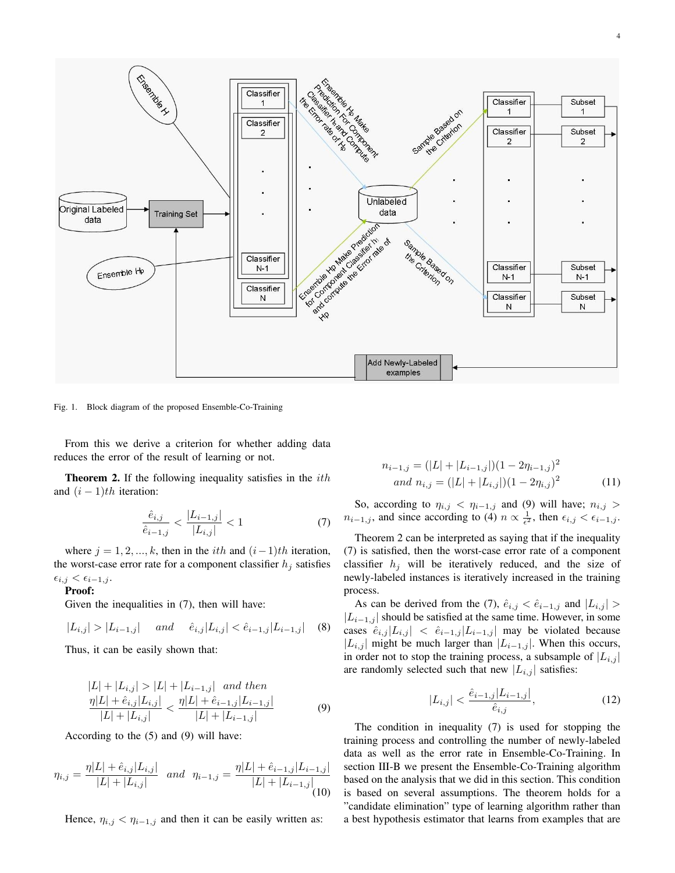

Fig. 1. Block diagram of the proposed Ensemble-Co-Training

From this we derive a criterion for whether adding data reduces the error of the result of learning or not.

**Theorem 2.** If the following inequality satisfies in the  $ith$ and  $(i - 1)$ th iteration:

$$
\frac{\hat{e}_{i,j}}{\hat{e}_{i-1,j}} < \frac{|L_{i-1,j}|}{|L_{i,j}|} < 1\tag{7}
$$

where  $j = 1, 2, ..., k$ , then in the *i*th and  $(i-1)$ th iteration, the worst-case error rate for a component classifier  $h_i$  satisfies  $\epsilon_{i,j} < \epsilon_{i-1,j}$ .

#### Proof:

Given the inequalities in (7), then will have:

$$
|L_{i,j}| > |L_{i-1,j}| \quad and \quad \hat{e}_{i,j}|L_{i,j}| < \hat{e}_{i-1,j}|L_{i-1,j}| \quad (8)
$$

Thus, it can be easily shown that:

$$
|L| + |L_{i,j}| > |L| + |L_{i-1,j}| \quad and \quad then
$$
  
\n
$$
\frac{\eta|L| + \hat{e}_{i,j}|L_{i,j}|}{|L| + |L_{i,j}|} < \frac{\eta|L| + \hat{e}_{i-1,j}|L_{i-1,j}|}{|L| + |L_{i-1,j}|}
$$
 (9)

According to the (5) and (9) will have:

$$
\eta_{i,j} = \frac{\eta |L| + \hat{e}_{i,j} |L_{i,j}|}{|L| + |L_{i,j}|} \quad \text{and} \quad \eta_{i-1,j} = \frac{\eta |L| + \hat{e}_{i-1,j} |L_{i-1,j}|}{|L| + |L_{i-1,j}|} \tag{10}
$$

Hence,  $\eta_{i,j} < \eta_{i-1,j}$  and then it can be easily written as:

$$
n_{i-1,j} = (|L| + |L_{i-1,j}|)(1 - 2\eta_{i-1,j})^2
$$
  
and 
$$
n_{i,j} = (|L| + |L_{i,j}|)(1 - 2\eta_{i,j})^2
$$
 (11)

So, according to  $\eta_{i,j} < \eta_{i-1,j}$  and (9) will have;  $n_{i,j} >$  $n_{i-1,j}$ , and since according to (4)  $n \propto \frac{1}{\epsilon^2}$ , then  $\epsilon_{i,j} < \epsilon_{i-1,j}$ .

Theorem 2 can be interpreted as saying that if the inequality (7) is satisfied, then the worst-case error rate of a component classifier  $h_j$  will be iteratively reduced, and the size of newly-labeled instances is iteratively increased in the training process.

As can be derived from the (7),  $\hat{e}_{i,j} < \hat{e}_{i-1,j}$  and  $|L_{i,j}| >$  $|L_{i-1,j}|$  should be satisfied at the same time. However, in some cases  $\hat{e}_{i,j} |L_{i,j}| \leq \hat{e}_{i-1,j} |L_{i-1,j}|$  may be violated because |L<sub>i,j</sub> | might be much larger than  $|L_{i-1,j}|$ . When this occurs, in order not to stop the training process, a subsample of  $|L_{i,j}|$ are randomly selected such that new  $|L_{i,j}|$  satisfies:

$$
|L_{i,j}| < \frac{\hat{e}_{i-1,j}|L_{i-1,j}|}{\hat{e}_{i,j}},\tag{12}
$$

The condition in inequality (7) is used for stopping the training process and controlling the number of newly-labeled data as well as the error rate in Ensemble-Co-Training. In section III-B we present the Ensemble-Co-Training algorithm based on the analysis that we did in this section. This condition is based on several assumptions. The theorem holds for a "candidate elimination" type of learning algorithm rather than a best hypothesis estimator that learns from examples that are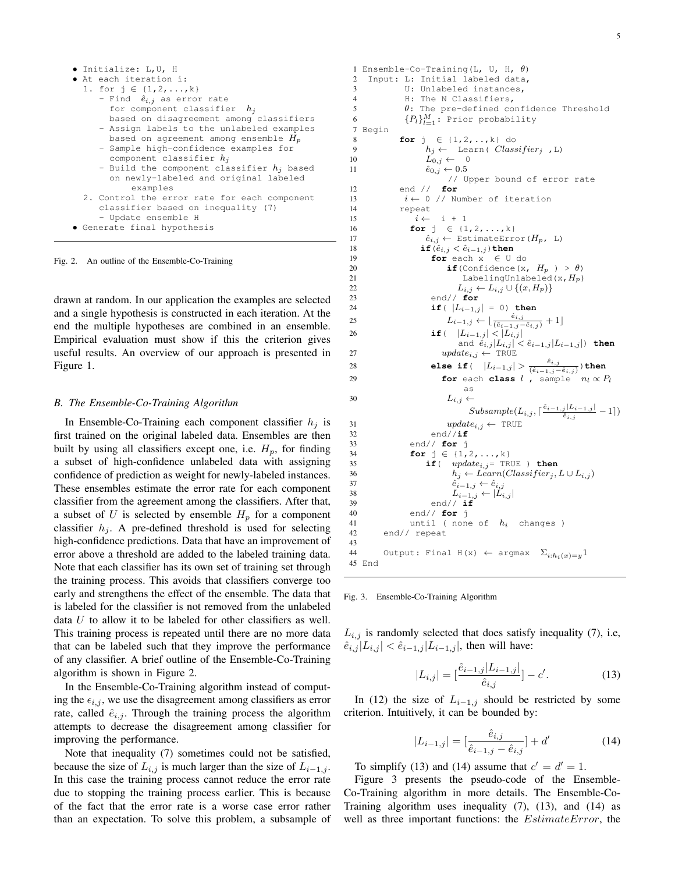| · Initialize: L, U, H                        |
|----------------------------------------------|
| • At each iteration i:                       |
| 1. for $j \in \{1, 2, , k\}$                 |
| - Find $\hat{e}_{i,j}$ as error rate         |
| for component classifier $h_i$               |
| based on disagreement among classifiers      |
| - Assign labels to the unlabeled examples    |
| based on agreement among ensemble $H_p$      |
| - Sample high-confidence examples for        |
| component classifier $h_i$                   |
| - Build the component classifier $h_i$ based |
| on newly-labeled and original labeled        |
| examples                                     |
| 2. Control the error rate for each component |
| classifier based on inequality (7)           |
| - Update ensemble H                          |
| • Generate final hypothesis                  |

Fig. 2. An outline of the Ensemble-Co-Training

drawn at random. In our application the examples are selected and a single hypothesis is constructed in each iteration. At the end the multiple hypotheses are combined in an ensemble. Empirical evaluation must show if this the criterion gives useful results. An overview of our approach is presented in Figure 1.

#### *B. The Ensemble-Co-Training Algorithm*

In Ensemble-Co-Training each component classifier  $h_i$  is first trained on the original labeled data. Ensembles are then built by using all classifiers except one, i.e.  $H_p$ , for finding a subset of high-confidence unlabeled data with assigning confidence of prediction as weight for newly-labeled instances. These ensembles estimate the error rate for each component classifier from the agreement among the classifiers. After that, a subset of U is selected by ensemble  $H_p$  for a component classifier  $h_i$ . A pre-defined threshold is used for selecting high-confidence predictions. Data that have an improvement of error above a threshold are added to the labeled training data. Note that each classifier has its own set of training set through the training process. This avoids that classifiers converge too early and strengthens the effect of the ensemble. The data that is labeled for the classifier is not removed from the unlabeled data  $U$  to allow it to be labeled for other classifiers as well. This training process is repeated until there are no more data that can be labeled such that they improve the performance of any classifier. A brief outline of the Ensemble-Co-Training algorithm is shown in Figure 2.

In the Ensemble-Co-Training algorithm instead of computing the  $\epsilon_{i,j}$ , we use the disagreement among classifiers as error rate, called  $\hat{e}_{i,j}$ . Through the training process the algorithm attempts to decrease the disagreement among classifier for improving the performance.

Note that inequality (7) sometimes could not be satisfied, because the size of  $L_{i,j}$  is much larger than the size of  $L_{i-1,j}$ . In this case the training process cannot reduce the error rate due to stopping the training process earlier. This is because of the fact that the error rate is a worse case error rather than an expectation. To solve this problem, a subsample of

```
1 Ensemble-Co-Training(L, U, H, \theta)
2 Input: L: Initial labeled data,
3 U: Unlabeled instances,
 4 H: The N Classifiers,
\theta: The pre-defined confidence Threshold
 6 \{P_l\}_{l=1}^M: Prior probability
 7 Begin
 8 for j ∈ {1,2,..,k} do
 9 h_j \leftarrow \text{Learn}(\text{Classifier}_j, \text{L})10 L_{0,j} \leftarrow 0<br>11 \hat{e}_{0,i} \leftarrow 0.5\hat{e}_{0,j} \leftarrow 0.5// Upper bound of error rate
12 end // for
13 i \leftarrow 0 // Number of iteration
14 repeat
15 i \leftarrow i + 116 for j ∈ {1,2, ..., k}
17 \hat{e}_{i,j} \leftarrow EstimateError (H_p, L)18 if (\hat{e}_{i,j} < \hat{e}_{i-1,j}) then
19 for each x ∈ U do
20 if (Confidence (x, H_p) > \theta)<br>
Labeling[In]abeled(x, H_n)
                            LabelingUnlabeled(x, H_p)
22 L_{i,j} \leftarrow L_{i,j} \cup \{(x, H_p)\}<br>23 end// for
                    23 end// for
24 if( |L_{i-1,j}| = 0) then
25 L_{i-1,j} \leftarrow \lfloor \frac{\hat{e}_{i,j}}{(\hat{e}_{i-1,j} - \hat{e}_{i,j})} + 1 \rfloor26 if( |L_{i-1,j}| < |L_{i,j}|and \hat{e}_{i,j} |L_{i,j}| < \hat{e}_{i-1,j} |L_{i-1,j}|) then
27 update_{i,j} \leftarrow \text{TRUE}28 else if( |L_{i-1,j}| > \frac{\hat{e}_{i,j}}{(\hat{e}_{i-1,j}-\hat{e}_{i,j})}) then
29 for each class l , sample n_l \propto P_las
30 L_{i,j} \leftarrowSubsample(L_{i,j}, \lceil \frac{\hat{e}_{i-1,j} |L_{i-1,j}|}{\hat{e}_{i,j}}-1\rceil)31 update_{i,j} \leftarrow \text{TRUE}<br>32 end//\textbf{if}32 end//if
33 end// for j
34 for j ∈ {1,2, ..., k}
35 if( update_{i,j} = \text{TRUE} ) then<br>36 h_i \leftarrow Learn(Classifier_i,36 h_j \leftarrow Learn(Classifier_j, L \cup L_{i,j})<br>37 \hat{e}_{i-1,i} \leftarrow \hat{e}_{i,i}\hat{e}_{i-1,j} \leftarrow \hat{e}_{i,j}38 L_{i-1,j} \leftarrow |L_{i,j}|<br>39 end// if
                    end// if40 end// for j
41 until (none of h_i changes )<br>42 end// repeat
        end// repeat
43
44 Output: Final H(x) \leftarrow argmax \Sigma_{i:h_i(x)=y}145 End
```
Fig. 3. Ensemble-Co-Training Algorithm

 $L_{i,j}$  is randomly selected that does satisfy inequality (7), i.e,  $\hat{e}_{i,j} |L_{i,j}| < \hat{e}_{i-1,j} |L_{i-1,j}|$ , then will have:

$$
|L_{i,j}| = \left[\frac{\hat{e}_{i-1,j}|L_{i-1,j}|}{\hat{e}_{i,j}}\right] - c'.\tag{13}
$$

In (12) the size of  $L_{i-1,j}$  should be restricted by some criterion. Intuitively, it can be bounded by:

$$
|L_{i-1,j}| = \left[\frac{\hat{e}_{i,j}}{\hat{e}_{i-1,j} - \hat{e}_{i,j}}\right] + d'
$$
 (14)

To simplify (13) and (14) assume that  $c' = d' = 1$ .

Figure 3 presents the pseudo-code of the Ensemble-Co-Training algorithm in more details. The Ensemble-Co-Training algorithm uses inequality (7), (13), and (14) as well as three important functions: the *EstimateError*, the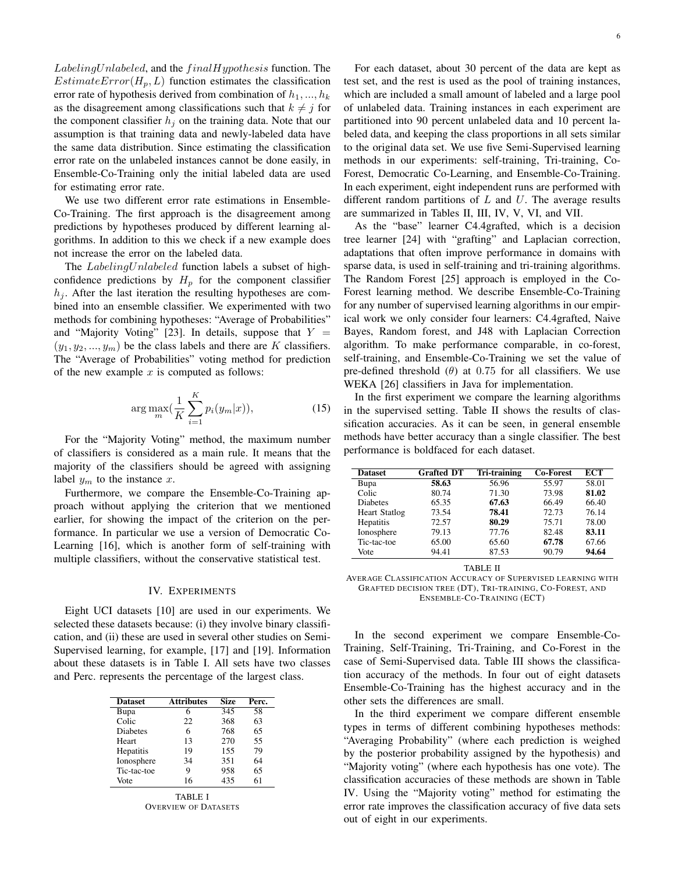$Labeling Unlabeled$ , and the  $finalHypothesis$  function. The  $EstimateError(H_p, L)$  function estimates the classification error rate of hypothesis derived from combination of  $h_1, ..., h_k$ as the disagreement among classifications such that  $k \neq j$  for the component classifier  $h_i$  on the training data. Note that our assumption is that training data and newly-labeled data have the same data distribution. Since estimating the classification error rate on the unlabeled instances cannot be done easily, in Ensemble-Co-Training only the initial labeled data are used for estimating error rate.

We use two different error rate estimations in Ensemble-Co-Training. The first approach is the disagreement among predictions by hypotheses produced by different learning algorithms. In addition to this we check if a new example does not increase the error on the labeled data.

The LabelingUnlabeled function labels a subset of highconfidence predictions by  $H_p$  for the component classifier  $h_i$ . After the last iteration the resulting hypotheses are combined into an ensemble classifier. We experimented with two methods for combining hypotheses: "Average of Probabilities" and "Majority Voting" [23]. In details, suppose that  $Y =$  $(y_1, y_2, ..., y_m)$  be the class labels and there are K classifiers. The "Average of Probabilities" voting method for prediction of the new example  $x$  is computed as follows:

$$
\arg\max_{m} \left(\frac{1}{K} \sum_{i=1}^{K} p_i(y_m|x)\right),\tag{15}
$$

For the "Majority Voting" method, the maximum number of classifiers is considered as a main rule. It means that the majority of the classifiers should be agreed with assigning label  $y_m$  to the instance x.

Furthermore, we compare the Ensemble-Co-Training approach without applying the criterion that we mentioned earlier, for showing the impact of the criterion on the performance. In particular we use a version of Democratic Co-Learning [16], which is another form of self-training with multiple classifiers, without the conservative statistical test.

#### IV. EXPERIMENTS

Eight UCI datasets [10] are used in our experiments. We selected these datasets because: (i) they involve binary classification, and (ii) these are used in several other studies on Semi-Supervised learning, for example, [17] and [19]. Information about these datasets is in Table I. All sets have two classes and Perc. represents the percentage of the largest class.

| <b>Dataset</b> | <b>Attributes</b> | <b>Size</b> | Perc. |
|----------------|-------------------|-------------|-------|
| Bupa           |                   | 345         | 58    |
| Colic          | 22                | 368         | 63    |
| Diabetes       | 6                 | 768         | 65    |
| Heart          | 13                | 270         | 55    |
| Hepatitis      | 19                | 155         | 79    |
| Ionosphere     | 34                | 351         | 64    |
| Tic-tac-toe    | 9                 | 958         | 65    |
| Vote           | 16                | 435         | 61    |

TABLE I OVERVIEW OF DATASETS

For each dataset, about 30 percent of the data are kept as test set, and the rest is used as the pool of training instances, which are included a small amount of labeled and a large pool of unlabeled data. Training instances in each experiment are partitioned into 90 percent unlabeled data and 10 percent labeled data, and keeping the class proportions in all sets similar to the original data set. We use five Semi-Supervised learning methods in our experiments: self-training, Tri-training, Co-Forest, Democratic Co-Learning, and Ensemble-Co-Training. In each experiment, eight independent runs are performed with different random partitions of  $L$  and  $U$ . The average results are summarized in Tables II, III, IV, V, VI, and VII.

As the "base" learner C4.4grafted, which is a decision tree learner [24] with "grafting" and Laplacian correction, adaptations that often improve performance in domains with sparse data, is used in self-training and tri-training algorithms. The Random Forest [25] approach is employed in the Co-Forest learning method. We describe Ensemble-Co-Training for any number of supervised learning algorithms in our empirical work we only consider four learners: C4.4grafted, Naive Bayes, Random forest, and J48 with Laplacian Correction algorithm. To make performance comparable, in co-forest, self-training, and Ensemble-Co-Training we set the value of pre-defined threshold  $(\theta)$  at 0.75 for all classifiers. We use WEKA [26] classifiers in Java for implementation.

In the first experiment we compare the learning algorithms in the supervised setting. Table II shows the results of classification accuracies. As it can be seen, in general ensemble methods have better accuracy than a single classifier. The best performance is boldfaced for each dataset.

| <b>Dataset</b>       | <b>Grafted DT</b> | Tri-training | <b>Co-Forest</b> | <b>ECT</b> |
|----------------------|-------------------|--------------|------------------|------------|
| Bupa                 | 58.63             | 56.96        | 55.97            | 58.01      |
| Colic                | 80.74             | 71.30        | 73.98            | 81.02      |
| <b>Diabetes</b>      | 65.35             | 67.63        | 66.49            | 66.40      |
| <b>Heart Statlog</b> | 73.54             | 78.41        | 72.73            | 76.14      |
| <b>Hepatitis</b>     | 72.57             | 80.29        | 75.71            | 78.00      |
| Ionosphere           | 79.13             | 77.76        | 82.48            | 83.11      |
| Tic-tac-toe          | 65.00             | 65.60        | 67.78            | 67.66      |
| Vote                 | 94.41             | 87.53        | 90.79            | 94.64      |

TABLE II

AVERAGE CLASSIFICATION ACCURACY OF SUPERVISED LEARNING WITH GRAFTED DECISION TREE (DT), TRI-TRAINING, CO-FOREST, AND ENSEMBLE-CO-TRAINING (ECT)

In the second experiment we compare Ensemble-Co-Training, Self-Training, Tri-Training, and Co-Forest in the case of Semi-Supervised data. Table III shows the classification accuracy of the methods. In four out of eight datasets Ensemble-Co-Training has the highest accuracy and in the other sets the differences are small.

In the third experiment we compare different ensemble types in terms of different combining hypotheses methods: "Averaging Probability" (where each prediction is weighed by the posterior probability assigned by the hypothesis) and "Majority voting" (where each hypothesis has one vote). The classification accuracies of these methods are shown in Table IV. Using the "Majority voting" method for estimating the error rate improves the classification accuracy of five data sets out of eight in our experiments.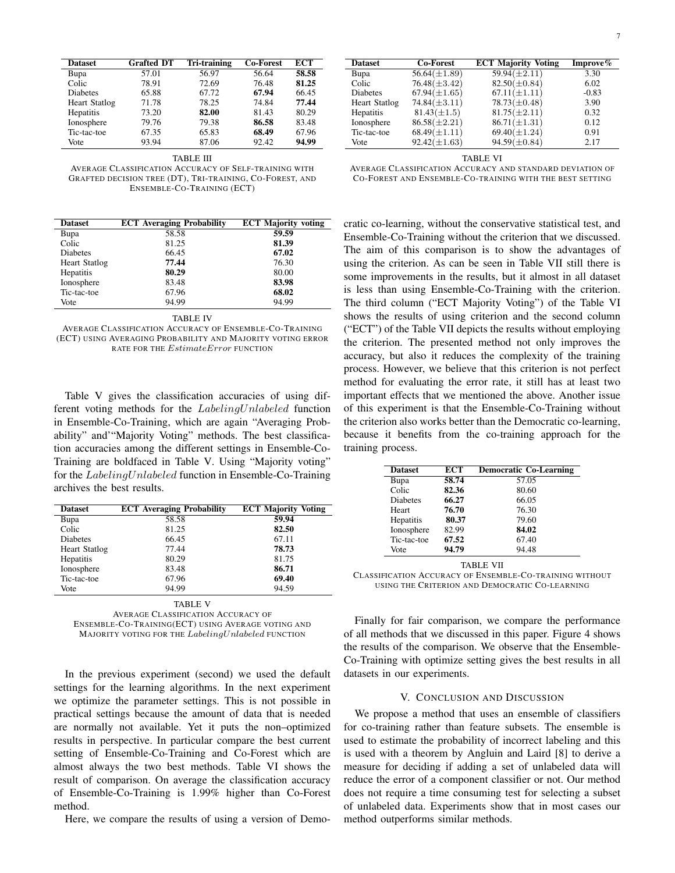| <b>Dataset</b>       | <b>Grafted DT</b> | Tri-training | <b>Co-Forest</b> | <b>ECT</b> |
|----------------------|-------------------|--------------|------------------|------------|
| Bupa                 | 57.01             | 56.97        | 56.64            | 58.58      |
| Colic                | 78.91             | 72.69        | 76.48            | 81.25      |
| <b>Diabetes</b>      | 65.88             | 67.72        | 67.94            | 66.45      |
| <b>Heart Statlog</b> | 71.78             | 78.25        | 74.84            | 77.44      |
| Hepatitis            | 73.20             | 82.00        | 81.43            | 80.29      |
| Ionosphere           | 79.76             | 79.38        | 86.58            | 83.48      |
| Tic-tac-toe          | 67.35             | 65.83        | 68.49            | 67.96      |
| Vote                 | 93.94             | 87.06        | 92.42            | 94.99      |

TABLE III

AVERAGE CLASSIFICATION ACCURACY OF SELF-TRAINING WITH GRAFTED DECISION TREE (DT), TRI-TRAINING, CO-FOREST, AND ENSEMBLE-CO-TRAINING (ECT)

| <b>Dataset</b>       | <b>ECT</b> Averaging Probability | <b>ECT Majority voting</b> |
|----------------------|----------------------------------|----------------------------|
| Bupa                 | 58.58                            | 59.59                      |
| Colic                | 81.25                            | 81.39                      |
| <b>Diabetes</b>      | 66.45                            | 67.02                      |
| <b>Heart Statlog</b> | 77.44                            | 76.30                      |
| <b>Hepatitis</b>     | 80.29                            | 80.00                      |
| Ionosphere           | 83.48                            | 83.98                      |
| Tic-tac-toe          | 67.96                            | 68.02                      |
| Vote                 | 94.99                            | 94.99                      |

#### TABLE IV

AVERAGE CLASSIFICATION ACCURACY OF ENSEMBLE-CO-TRAINING (ECT) USING AVERAGING PROBABILITY AND MAJORITY VOTING ERROR RATE FOR THE  $EstimateError$  FUNCTION

Table V gives the classification accuracies of using different voting methods for the LabelingUnlabeled function in Ensemble-Co-Training, which are again "Averaging Probability" and'"Majority Voting" methods. The best classification accuracies among the different settings in Ensemble-Co-Training are boldfaced in Table V. Using "Majority voting" for the LabelingUnlabeled function in Ensemble-Co-Training archives the best results.

| <b>Dataset</b>       | <b>ECT</b> Averaging Probability | <b>ECT Majority Voting</b> |
|----------------------|----------------------------------|----------------------------|
| Bupa                 | 58.58                            | 59.94                      |
| Colic                | 81.25                            | 82.50                      |
| <b>Diabetes</b>      | 66.45                            | 67.11                      |
| <b>Heart Statlog</b> | 77.44                            | 78.73                      |
| Hepatitis            | 80.29                            | 81.75                      |
| Ionosphere           | 83.48                            | 86.71                      |
| Tic-tac-toe          | 67.96                            | 69.40                      |
| Vote                 | 94.99                            | 94.59                      |

TABLE V

AVERAGE CLASSIFICATION ACCURACY OF ENSEMBLE-CO-TRAINING(ECT) USING AVERAGE VOTING AND MAJORITY VOTING FOR THE LabelingUnlabeled FUNCTION

In the previous experiment (second) we used the default settings for the learning algorithms. In the next experiment we optimize the parameter settings. This is not possible in practical settings because the amount of data that is needed are normally not available. Yet it puts the non–optimized results in perspective. In particular compare the best current setting of Ensemble-Co-Training and Co-Forest which are almost always the two best methods. Table VI shows the result of comparison. On average the classification accuracy of Ensemble-Co-Training is 1.99% higher than Co-Forest method.

Here, we compare the results of using a version of Demo-

| <b>Co-Forest</b>  | <b>ECT Majority Voting</b> | Improve% |
|-------------------|----------------------------|----------|
| $56.64(\pm 1.89)$ | $59.94(\pm2.11)$           | 3.30     |
| $76.48(\pm 3.42)$ | $82.50(\pm 0.84)$          | 6.02     |
| $67.94(\pm 1.65)$ | $67.11(\pm 1.11)$          | $-0.83$  |
| $74.84(\pm3.11)$  | $78.73(\pm 0.48)$          | 3.90     |
| $81.43(\pm 1.5)$  | $81.75(\pm 2.11)$          | 0.32     |
| $86.58(\pm2.21)$  | $86.71(\pm 1.31)$          | 0.12     |
| $68.49(\pm 1.11)$ | $69.40(\pm 1.24)$          | 0.91     |
| $92.42(\pm 1.63)$ | $94.59(\pm 0.84)$          | 2.17     |
|                   |                            |          |

TABLE VI

AVERAGE CLASSIFICATION ACCURACY AND STANDARD DEVIATION OF CO-FOREST AND ENSEMBLE-CO-TRAINING WITH THE BEST SETTING

cratic co-learning, without the conservative statistical test, and Ensemble-Co-Training without the criterion that we discussed. The aim of this comparison is to show the advantages of using the criterion. As can be seen in Table VII still there is some improvements in the results, but it almost in all dataset is less than using Ensemble-Co-Training with the criterion. The third column ("ECT Majority Voting") of the Table VI shows the results of using criterion and the second column ("ECT") of the Table VII depicts the results without employing the criterion. The presented method not only improves the accuracy, but also it reduces the complexity of the training process. However, we believe that this criterion is not perfect method for evaluating the error rate, it still has at least two important effects that we mentioned the above. Another issue of this experiment is that the Ensemble-Co-Training without the criterion also works better than the Democratic co-learning, because it benefits from the co-training approach for the training process.

| <b>Dataset</b>  | <b>ECT</b> | <b>Democratic Co-Learning</b> |
|-----------------|------------|-------------------------------|
| Bupa            | 58.74      | 57.05                         |
| Colic           | 82.36      | 80.60                         |
| <b>Diabetes</b> | 66.27      | 66.05                         |
| Heart           | 76.70      | 76.30                         |
| Hepatitis       | 80.37      | 79.60                         |
| Ionosphere      | 82.99      | 84.02                         |
| Tic-tac-toe     | 67.52      | 67.40                         |
| Vote            | 94.79      | 94.48                         |

TABLE VII

CLASSIFICATION ACCURACY OF ENSEMBLE-CO-TRAINING WITHOUT USING THE CRITERION AND DEMOCRATIC CO-LEARNING

Finally for fair comparison, we compare the performance of all methods that we discussed in this paper. Figure 4 shows the results of the comparison. We observe that the Ensemble-Co-Training with optimize setting gives the best results in all datasets in our experiments.

#### V. CONCLUSION AND DISCUSSION

We propose a method that uses an ensemble of classifiers for co-training rather than feature subsets. The ensemble is used to estimate the probability of incorrect labeling and this is used with a theorem by Angluin and Laird [8] to derive a measure for deciding if adding a set of unlabeled data will reduce the error of a component classifier or not. Our method does not require a time consuming test for selecting a subset of unlabeled data. Experiments show that in most cases our method outperforms similar methods.